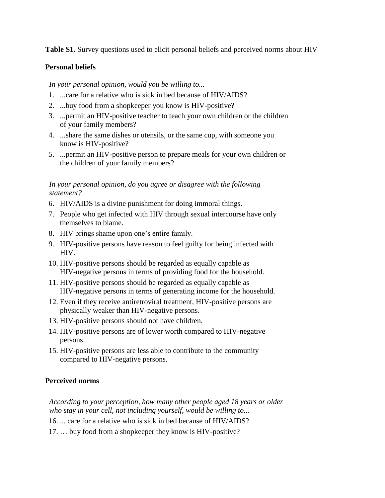**Table S1.** Survey questions used to elicit personal beliefs and perceived norms about HIV

## **Personal beliefs**

*In your personal opinion, would you be willing to...* 

- 1. ...care for a relative who is sick in bed because of HIV/AIDS?
- 2. ...buy food from a shopkeeper you know is HIV-positive?
- 3. ...permit an HIV-positive teacher to teach your own children or the children of your family members?
- 4. ...share the same dishes or utensils, or the same cup, with someone you know is HIV-positive?
- 5. ...permit an HIV-positive person to prepare meals for your own children or the children of your family members?

## *In your personal opinion, do you agree or disagree with the following statement?*

- 6. HIV/AIDS is a divine punishment for doing immoral things.
- 7. People who get infected with HIV through sexual intercourse have only themselves to blame.
- 8. HIV brings shame upon one's entire family.
- 9. HIV-positive persons have reason to feel guilty for being infected with HIV.
- 10. HIV-positive persons should be regarded as equally capable as HIV-negative persons in terms of providing food for the household.
- 11. HIV-positive persons should be regarded as equally capable as HIV-negative persons in terms of generating income for the household.
- 12. Even if they receive antiretroviral treatment, HIV-positive persons are physically weaker than HIV-negative persons.
- 13. HIV-positive persons should not have children.
- 14. HIV-positive persons are of lower worth compared to HIV-negative persons.
- 15. HIV-positive persons are less able to contribute to the community compared to HIV-negative persons.

## **Perceived norms**

*According to your perception, how many other people aged 18 years or older who stay in your cell, not including yourself, would be willing to...* 

- 16. ... care for a relative who is sick in bed because of HIV/AIDS?
- 17. … buy food from a shopkeeper they know is HIV-positive?